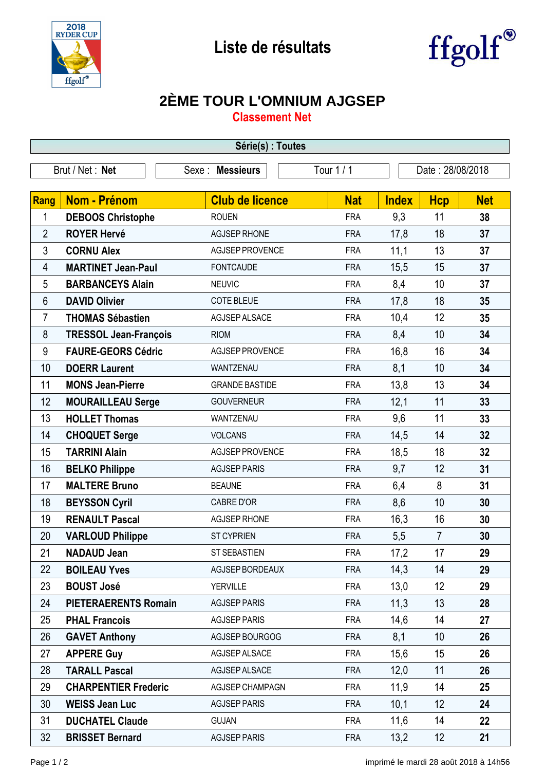



## **2ÈME TOUR L'OMNIUM AJGSEP**

**Classement Net**

| Série(s) : Toutes |                              |                        |            |              |                  |            |  |  |  |
|-------------------|------------------------------|------------------------|------------|--------------|------------------|------------|--|--|--|
| Brut / Net: Net   |                              | Sexe : Messieurs       | Tour $1/1$ |              | Date: 28/08/2018 |            |  |  |  |
|                   |                              |                        |            |              |                  |            |  |  |  |
| <b>Rang</b>       | <b>Nom - Prénom</b>          | <b>Club de licence</b> | <b>Nat</b> | <b>Index</b> | <b>Hcp</b>       | <b>Net</b> |  |  |  |
| 1                 | <b>DEBOOS Christophe</b>     | <b>ROUEN</b>           | <b>FRA</b> | 9,3          | 11               | 38         |  |  |  |
| $\overline{2}$    | <b>ROYER Hervé</b>           | <b>AGJSEP RHONE</b>    | <b>FRA</b> | 17,8         | 18               | 37         |  |  |  |
| 3                 | <b>CORNU Alex</b>            | AGJSEP PROVENCE        | <b>FRA</b> | 11,1         | 13               | 37         |  |  |  |
| 4                 | <b>MARTINET Jean-Paul</b>    | <b>FONTCAUDE</b>       | <b>FRA</b> | 15,5         | 15               | 37         |  |  |  |
| 5                 | <b>BARBANCEYS Alain</b>      | <b>NEUVIC</b>          | <b>FRA</b> | 8,4          | 10               | 37         |  |  |  |
| 6                 | <b>DAVID Olivier</b>         | <b>COTE BLEUE</b>      | <b>FRA</b> | 17,8         | 18               | 35         |  |  |  |
| $\overline{7}$    | <b>THOMAS Sébastien</b>      | AGJSEP ALSACE          | <b>FRA</b> | 10,4         | 12               | 35         |  |  |  |
| 8                 | <b>TRESSOL Jean-François</b> | <b>RIOM</b>            | <b>FRA</b> | 8,4          | 10               | 34         |  |  |  |
| 9                 | <b>FAURE-GEORS Cédric</b>    | <b>AGJSEP PROVENCE</b> | <b>FRA</b> | 16,8         | 16               | 34         |  |  |  |
| 10                | <b>DOERR Laurent</b>         | WANTZENAU              | <b>FRA</b> | 8,1          | 10               | 34         |  |  |  |
| 11                | <b>MONS Jean-Pierre</b>      | <b>GRANDE BASTIDE</b>  | <b>FRA</b> | 13,8         | 13               | 34         |  |  |  |
| 12                | <b>MOURAILLEAU Serge</b>     | <b>GOUVERNEUR</b>      | <b>FRA</b> | 12,1         | 11               | 33         |  |  |  |
| 13                | <b>HOLLET Thomas</b>         | WANTZENAU              | <b>FRA</b> | 9,6          | 11               | 33         |  |  |  |
| 14                | <b>CHOQUET Serge</b>         | <b>VOLCANS</b>         | <b>FRA</b> | 14,5         | 14               | 32         |  |  |  |
| 15                | <b>TARRINI Alain</b>         | <b>AGJSEP PROVENCE</b> | <b>FRA</b> | 18,5         | 18               | 32         |  |  |  |
| 16                | <b>BELKO Philippe</b>        | <b>AGJSEP PARIS</b>    | <b>FRA</b> | 9,7          | 12               | 31         |  |  |  |
| 17                | <b>MALTERE Bruno</b>         | <b>BEAUNE</b>          | <b>FRA</b> | 6,4          | 8                | 31         |  |  |  |
| 18                | <b>BEYSSON Cyril</b>         | <b>CABRE D'OR</b>      | <b>FRA</b> | 8,6          | 10               | 30         |  |  |  |
| 19                | <b>RENAULT Pascal</b>        | <b>AGJSEP RHONE</b>    | <b>FRA</b> | 16,3         | 16               | 30         |  |  |  |
| 20                | <b>VARLOUD Philippe</b>      | <b>ST CYPRIEN</b>      | <b>FRA</b> | 5,5          | $\overline{7}$   | 30         |  |  |  |
| 21                | <b>NADAUD Jean</b>           | ST SEBASTIEN           | <b>FRA</b> | 17,2         | 17               | 29         |  |  |  |
| 22                | <b>BOILEAU Yves</b>          | AGJSEP BORDEAUX        | <b>FRA</b> | 14,3         | 14               | 29         |  |  |  |
| 23                | <b>BOUST José</b>            | <b>YERVILLE</b>        | <b>FRA</b> | 13,0         | 12               | 29         |  |  |  |
| 24                | <b>PIETERAERENTS Romain</b>  | <b>AGJSEP PARIS</b>    | <b>FRA</b> | 11,3         | 13               | 28         |  |  |  |
| 25                | <b>PHAL Francois</b>         | <b>AGJSEP PARIS</b>    | <b>FRA</b> | 14,6         | 14               | 27         |  |  |  |
| 26                | <b>GAVET Anthony</b>         | AGJSEP BOURGOG         | <b>FRA</b> | 8,1          | 10               | 26         |  |  |  |
| 27                | <b>APPERE Guy</b>            | AGJSEP ALSACE          | <b>FRA</b> | 15,6         | 15               | 26         |  |  |  |
| 28                | <b>TARALL Pascal</b>         | AGJSEP ALSACE          | <b>FRA</b> | 12,0         | 11               | 26         |  |  |  |
| 29                | <b>CHARPENTIER Frederic</b>  | <b>AGJSEP CHAMPAGN</b> | <b>FRA</b> | 11,9         | 14               | 25         |  |  |  |
| 30                | <b>WEISS Jean Luc</b>        | <b>AGJSEP PARIS</b>    | <b>FRA</b> | 10,1         | 12               | 24         |  |  |  |
| 31                | <b>DUCHATEL Claude</b>       | <b>GUJAN</b>           | <b>FRA</b> | 11,6         | 14               | 22         |  |  |  |
| 32                | <b>BRISSET Bernard</b>       | <b>AGJSEP PARIS</b>    | <b>FRA</b> | 13,2         | 12               | 21         |  |  |  |